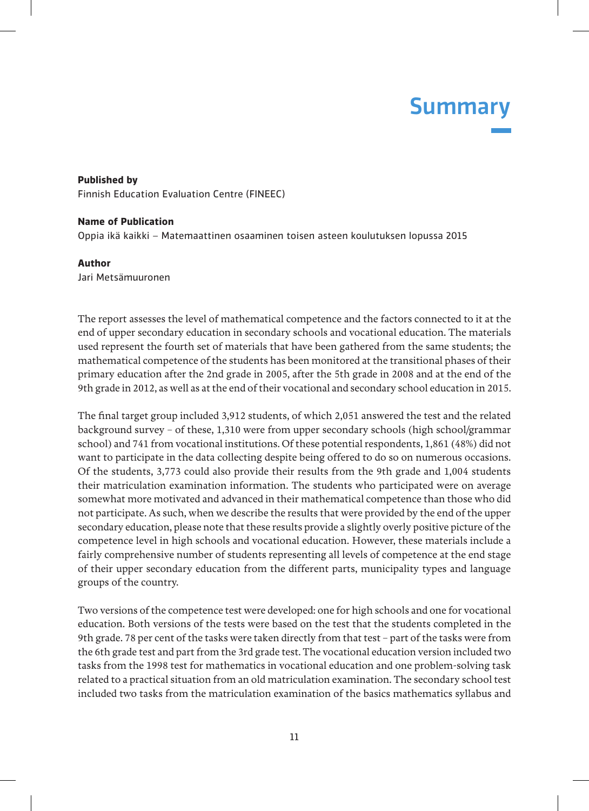## Summary

**Published by** Finnish Education Evaluation Centre (FINEEC)

## **Name of Publication**

Oppia ikä kaikki – Matemaattinen osaaminen toisen asteen koulutuksen lopussa 2015

## **Author**

Jari Metsämuuronen

The report assesses the level of mathematical competence and the factors connected to it at the end of upper secondary education in secondary schools and vocational education. The materials used represent the fourth set of materials that have been gathered from the same students; the mathematical competence of the students has been monitored at the transitional phases of their primary education after the 2nd grade in 2005, after the 5th grade in 2008 and at the end of the 9th grade in 2012, as well as at the end of their vocational and secondary school education in 2015.

The final target group included 3,912 students, of which 2,051 answered the test and the related background survey – of these, 1,310 were from upper secondary schools (high school/grammar school) and 741 from vocational institutions. Of these potential respondents, 1,861 (48%) did not want to participate in the data collecting despite being offered to do so on numerous occasions. Of the students, 3,773 could also provide their results from the 9th grade and 1,004 students their matriculation examination information. The students who participated were on average somewhat more motivated and advanced in their mathematical competence than those who did not participate. As such, when we describe the results that were provided by the end of the upper secondary education, please note that these results provide a slightly overly positive picture of the competence level in high schools and vocational education. However, these materials include a fairly comprehensive number of students representing all levels of competence at the end stage of their upper secondary education from the different parts, municipality types and language groups of the country.

Two versions of the competence test were developed: one for high schools and one for vocational education. Both versions of the tests were based on the test that the students completed in the 9th grade. 78 per cent of the tasks were taken directly from that test – part of the tasks were from the 6th grade test and part from the 3rd grade test. The vocational education version included two tasks from the 1998 test for mathematics in vocational education and one problem-solving task related to a practical situation from an old matriculation examination. The secondary school test included two tasks from the matriculation examination of the basics mathematics syllabus and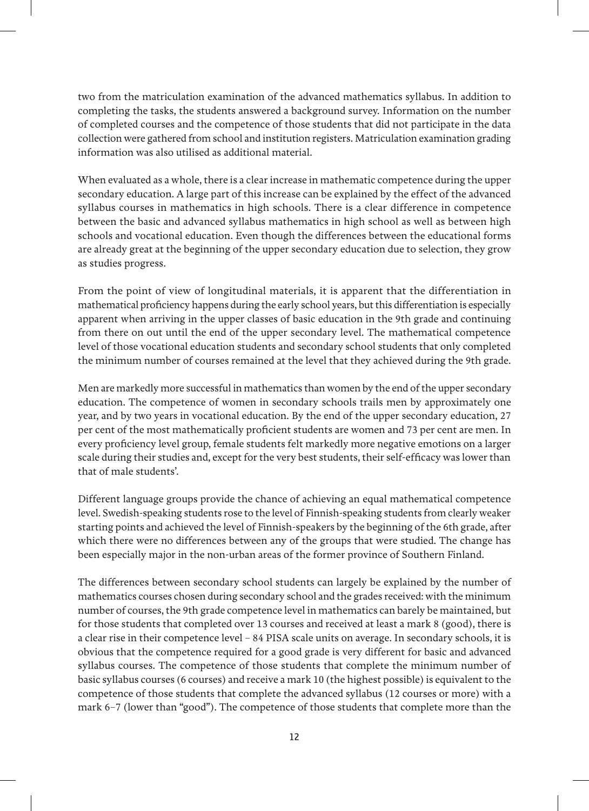two from the matriculation examination of the advanced mathematics syllabus. In addition to completing the tasks, the students answered a background survey. Information on the number of completed courses and the competence of those students that did not participate in the data collection were gathered from school and institution registers. Matriculation examination grading information was also utilised as additional material.

When evaluated as a whole, there is a clear increase in mathematic competence during the upper secondary education. A large part of this increase can be explained by the effect of the advanced syllabus courses in mathematics in high schools. There is a clear difference in competence between the basic and advanced syllabus mathematics in high school as well as between high schools and vocational education. Even though the differences between the educational forms are already great at the beginning of the upper secondary education due to selection, they grow as studies progress.

From the point of view of longitudinal materials, it is apparent that the differentiation in mathematical proficiency happens during the early school years, but this differentiation is especially apparent when arriving in the upper classes of basic education in the 9th grade and continuing from there on out until the end of the upper secondary level. The mathematical competence level of those vocational education students and secondary school students that only completed the minimum number of courses remained at the level that they achieved during the 9th grade.

Men are markedly more successful in mathematics than women by the end of the upper secondary education. The competence of women in secondary schools trails men by approximately one year, and by two years in vocational education. By the end of the upper secondary education, 27 per cent of the most mathematically proficient students are women and 73 per cent are men. In every proficiency level group, female students felt markedly more negative emotions on a larger scale during their studies and, except for the very best students, their self-efficacy was lower than that of male students'.

Different language groups provide the chance of achieving an equal mathematical competence level. Swedish-speaking students rose to the level of Finnish-speaking students from clearly weaker starting points and achieved the level of Finnish-speakers by the beginning of the 6th grade, after which there were no differences between any of the groups that were studied. The change has been especially major in the non-urban areas of the former province of Southern Finland.

The differences between secondary school students can largely be explained by the number of mathematics courses chosen during secondary school and the grades received: with the minimum number of courses, the 9th grade competence level in mathematics can barely be maintained, but for those students that completed over 13 courses and received at least a mark 8 (good), there is a clear rise in their competence level – 84 PISA scale units on average. In secondary schools, it is obvious that the competence required for a good grade is very different for basic and advanced syllabus courses. The competence of those students that complete the minimum number of basic syllabus courses (6 courses) and receive a mark 10 (the highest possible) is equivalent to the competence of those students that complete the advanced syllabus (12 courses or more) with a mark 6–7 (lower than "good"). The competence of those students that complete more than the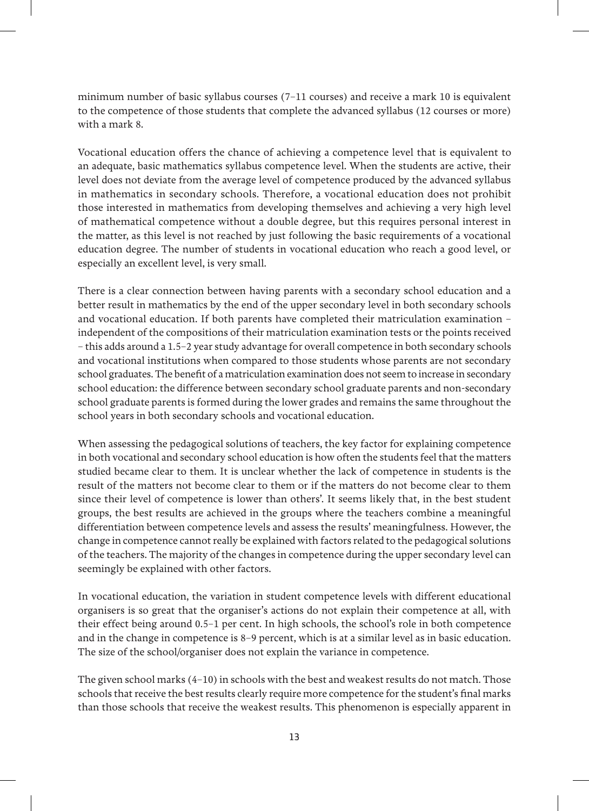minimum number of basic syllabus courses (7–11 courses) and receive a mark 10 is equivalent to the competence of those students that complete the advanced syllabus (12 courses or more) with a mark 8.

Vocational education offers the chance of achieving a competence level that is equivalent to an adequate, basic mathematics syllabus competence level. When the students are active, their level does not deviate from the average level of competence produced by the advanced syllabus in mathematics in secondary schools. Therefore, a vocational education does not prohibit those interested in mathematics from developing themselves and achieving a very high level of mathematical competence without a double degree, but this requires personal interest in the matter, as this level is not reached by just following the basic requirements of a vocational education degree. The number of students in vocational education who reach a good level, or especially an excellent level, is very small.

There is a clear connection between having parents with a secondary school education and a better result in mathematics by the end of the upper secondary level in both secondary schools and vocational education. If both parents have completed their matriculation examination – independent of the compositions of their matriculation examination tests or the points received – this adds around a 1.5–2 year study advantage for overall competence in both secondary schools and vocational institutions when compared to those students whose parents are not secondary school graduates. The benefit of a matriculation examination does not seem to increase in secondary school education: the difference between secondary school graduate parents and non-secondary school graduate parents is formed during the lower grades and remains the same throughout the school years in both secondary schools and vocational education.

When assessing the pedagogical solutions of teachers, the key factor for explaining competence in both vocational and secondary school education is how often the students feel that the matters studied became clear to them. It is unclear whether the lack of competence in students is the result of the matters not become clear to them or if the matters do not become clear to them since their level of competence is lower than others'. It seems likely that, in the best student groups, the best results are achieved in the groups where the teachers combine a meaningful differentiation between competence levels and assess the results' meaningfulness. However, the change in competence cannot really be explained with factors related to the pedagogical solutions of the teachers. The majority of the changes in competence during the upper secondary level can seemingly be explained with other factors.

In vocational education, the variation in student competence levels with different educational organisers is so great that the organiser's actions do not explain their competence at all, with their effect being around 0.5–1 per cent. In high schools, the school's role in both competence and in the change in competence is 8–9 percent, which is at a similar level as in basic education. The size of the school/organiser does not explain the variance in competence.

The given school marks (4–10) in schools with the best and weakest results do not match. Those schools that receive the best results clearly require more competence for the student's final marks than those schools that receive the weakest results. This phenomenon is especially apparent in